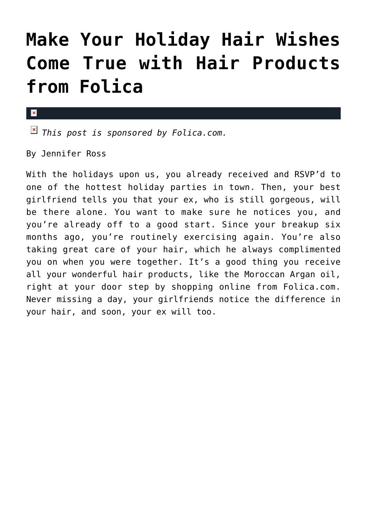## **[Make Your Holiday Hair Wishes](https://cupidspulse.com/41541/folica-hair-products-holiday-promotion/) [Come True with Hair Products](https://cupidspulse.com/41541/folica-hair-products-holiday-promotion/) [from Folica](https://cupidspulse.com/41541/folica-hair-products-holiday-promotion/)**

## $\mathbf{x}$

*This post is sponsored by Folica.com.*

By Jennifer Ross

With the holidays upon us, you already received and RSVP'd to one of the hottest holiday parties in town. Then, your best girlfriend tells you that your ex, who is still gorgeous, will be there alone. You want to make sure he notices you, and you're already off to a good start. Since your breakup six months ago, you're routinely exercising again. You're also taking great care of your hair, which he always complimented you on when you were together. It's a good thing you receive all your wonderful hair products, like the Moroccan Argan oil, right at your door step by shopping online from Folica.com. Never missing a day, your girlfriends notice the difference in your hair, and soon, your ex will too.